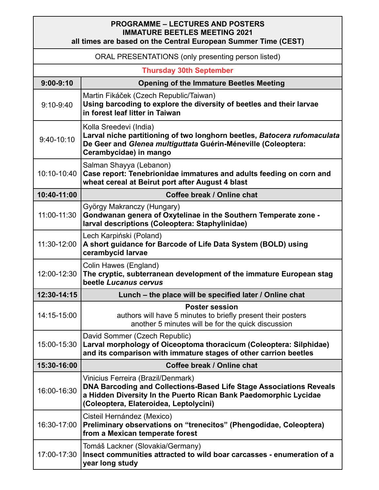## **PROGRAMME – LECTURES AND POSTERS IMMATURE BEETLES MEETING 2021**

| all times are based on the Central European Summer Time (CEST) |                                                                                                                                                                                                                         |  |
|----------------------------------------------------------------|-------------------------------------------------------------------------------------------------------------------------------------------------------------------------------------------------------------------------|--|
| ORAL PRESENTATIONS (only presenting person listed)             |                                                                                                                                                                                                                         |  |
| <b>Thursday 30th September</b>                                 |                                                                                                                                                                                                                         |  |
| $9:00 - 9:10$                                                  | <b>Opening of the Immature Beetles Meeting</b>                                                                                                                                                                          |  |
| $9:10-9:40$                                                    | Martin Fikáček (Czech Republic/Taiwan)<br>Using barcoding to explore the diversity of beetles and their larvae<br>in forest leaf litter in Taiwan                                                                       |  |
| $9:40-10:10$                                                   | Kolla Sreedevi (India)<br>Larval niche partitioning of two longhorn beetles, Batocera rufomaculata<br>De Geer and Glenea multiguttata Guérin-Méneville (Coleoptera:<br>Cerambycidae) in mango                           |  |
| 10:10-10:40                                                    | Salman Shayya (Lebanon)<br>Case report: Tenebrionidae immatures and adults feeding on corn and<br>wheat cereal at Beirut port after August 4 blast                                                                      |  |
| 10:40-11:00                                                    | Coffee break / Online chat                                                                                                                                                                                              |  |
| 11:00-11:30                                                    | György Makranczy (Hungary)<br>Gondwanan genera of Oxytelinae in the Southern Temperate zone -<br>larval descriptions (Coleoptera: Staphylinidae)                                                                        |  |
| 11:30-12:00                                                    | Lech Karpiński (Poland)<br>A short guidance for Barcode of Life Data System (BOLD) using<br>cerambycid larvae                                                                                                           |  |
| 12:00-12:30                                                    | Colin Hawes (England)<br>The cryptic, subterranean development of the immature European stag<br>beetle Lucanus cervus                                                                                                   |  |
| 12:30-14:15                                                    | Lunch – the place will be specified later / Online chat                                                                                                                                                                 |  |
| 14:15-15:00                                                    | <b>Poster session</b><br>authors will have 5 minutes to briefly present their posters<br>another 5 minutes will be for the quick discussion                                                                             |  |
| 15:00-15:30                                                    | David Sommer (Czech Republic)<br>Larval morphology of Oiceoptoma thoracicum (Coleoptera: Silphidae)<br>and its comparison with immature stages of other carrion beetles                                                 |  |
| 15:30-16:00                                                    | Coffee break / Online chat                                                                                                                                                                                              |  |
| 16:00-16:30                                                    | Vinicius Ferreira (Brazil/Denmark)<br>DNA Barcoding and Collections-Based Life Stage Associations Reveals<br>a Hidden Diversity In the Puerto Rican Bank Paedomorphic Lycidae<br>(Coleoptera, Elateroidea, Leptolycini) |  |
| 16:30-17:00                                                    | Cisteil Hernández (Mexico)<br>Preliminary observations on "trenecitos" (Phengodidae, Coleoptera)<br>from a Mexican temperate forest                                                                                     |  |
| 17:00-17:30                                                    | Tomáš Lackner (Slovakia/Germany)<br>Insect communities attracted to wild boar carcasses - enumeration of a<br>year long study                                                                                           |  |